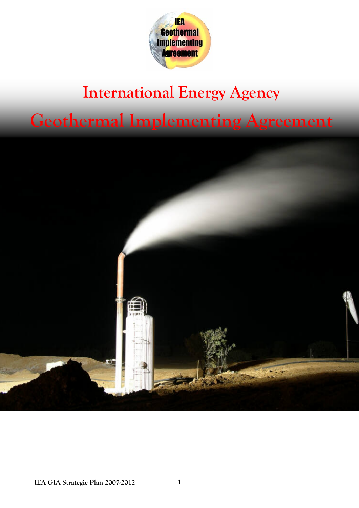

### **International Energy Agency Geothermal Implementing Agreement**

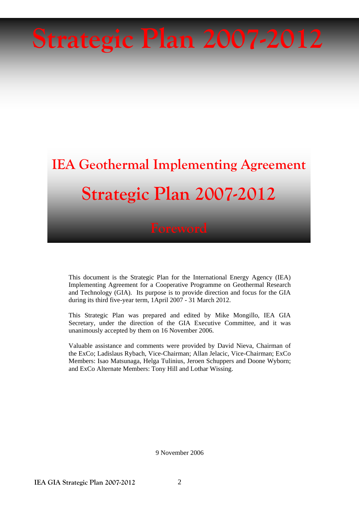# **Strategic Plan 2007-2012**

## **IEA Geothermal Implementing Agreement Strategic Plan 2007-2012**

This document is the Strategic Plan for the International Energy Agency (IEA) Implementing Agreement for a Cooperative Programme on Geothermal Research and Technology (GIA). Its purpose is to provide direction and focus for the GIA during its third five-year term, 1April 2007 - 31 March 2012.

This Strategic Plan was prepared and edited by Mike Mongillo, IEA GIA Secretary, under the direction of the GIA Executive Committee, and it was unanimously accepted by them on 16 November 2006.

Valuable assistance and comments were provided by David Nieva, Chairman of the ExCo; Ladislaus Rybach, Vice-Chairman; Allan Jelacic, Vice-Chairman; ExCo Members: Isao Matsunaga, Helga Tulinius, Jeroen Schuppers and Doone Wyborn; and ExCo Alternate Members: Tony Hill and Lothar Wissing.

9 November 2006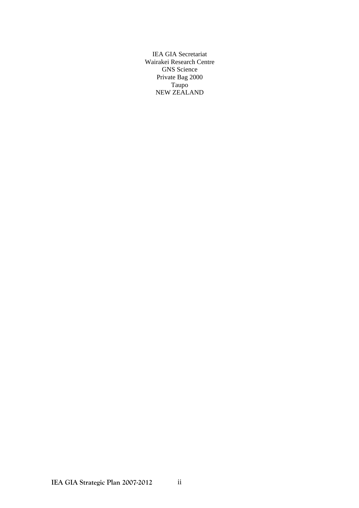IEA GIA Secretariat Wairakei Research Centre GNS Science Private Bag 2000 Taupo NEW ZEALAND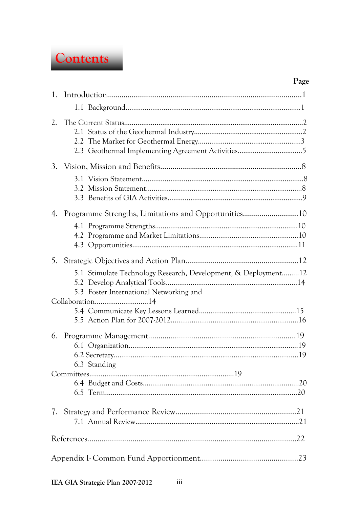

#### Page

| 1.           |                                                                                                                              |  |  |  |  |  |
|--------------|------------------------------------------------------------------------------------------------------------------------------|--|--|--|--|--|
|              |                                                                                                                              |  |  |  |  |  |
| 2.           | 2.3 Geothermal Implementing Agreement Activities5                                                                            |  |  |  |  |  |
|              |                                                                                                                              |  |  |  |  |  |
|              |                                                                                                                              |  |  |  |  |  |
| 4.           |                                                                                                                              |  |  |  |  |  |
|              |                                                                                                                              |  |  |  |  |  |
| 5.           |                                                                                                                              |  |  |  |  |  |
|              | 5.1 Stimulate Technology Research, Development, & Deployment12<br>5.3 Foster International Networking and<br>Collaboration14 |  |  |  |  |  |
|              |                                                                                                                              |  |  |  |  |  |
| 6.           |                                                                                                                              |  |  |  |  |  |
| 6.3 Standing |                                                                                                                              |  |  |  |  |  |
|              |                                                                                                                              |  |  |  |  |  |
|              |                                                                                                                              |  |  |  |  |  |
|              |                                                                                                                              |  |  |  |  |  |
|              |                                                                                                                              |  |  |  |  |  |

 $iii$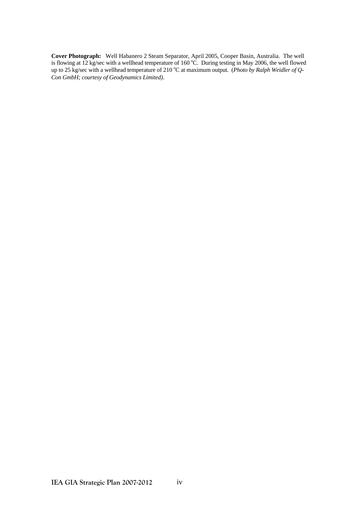**Cover Photograph:** Well Habanero 2 Steam Separator, April 2005, Cooper Basin, Australia. The well is flowing at 12 kg/sec with a wellhead temperature of 160 °C. During testing in May 2006, the well flowed up to 25 kg/sec with a wellhead temperature of 210 °C at maximum output. (*Photo by Ralph Weidler of Q*-*Con GmbH; courtesy of Geodynamics Limited)*.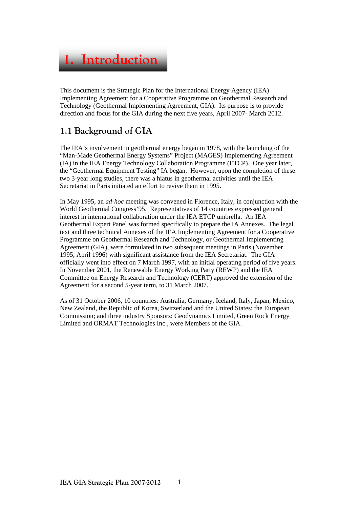

This document is the Strategic Plan for the International Energy Agency (IEA) Implementing Agreement for a Cooperative Programme on Geothermal Research and Technology (Geothermal Implementing Agreement, GIA). Its purpose is to provide direction and focus for the GIA during the next five years, April 2007- March 2012.

#### **1.1 Background of GIA**

The IEA's involvement in geothermal energy began in 1978, with the launching of the "Man-Made Geothermal Energy Systems" Project (MAGES) Implementing Agreement (IA) in the IEA Energy Technology Collaboration Programme (ETCP). One year later, the "Geothermal Equipment Testing" IA began. However, upon the completion of these two 3-year long studies, there was a hiatus in geothermal activities until the IEA Secretariat in Paris initiated an effort to revive them in 1995.

In May 1995, an *ad-hoc* meeting was convened in Florence, Italy, in conjunction with the World Geothermal Congress'95. Representatives of 14 countries expressed general interest in international collaboration under the IEA ETCP umbrella. An IEA Geothermal Expert Panel was formed specifically to prepare the IA Annexes. The legal text and three technical Annexes of the IEA Implementing Agreement for a Cooperative Programme on Geothermal Research and Technology, or Geothermal Implementing Agreement (GIA), were formulated in two subsequent meetings in Paris (November 1995, April 1996) with significant assistance from the IEA Secretariat. The GIA officially went into effect on 7 March 1997, with an initial operating period of five years. In November 2001, the Renewable Energy Working Party (REWP) and the IEA Committee on Energy Research and Technology (CERT) approved the extension of the Agreement for a second 5-year term, to 31 March 2007.

As of 31 October 2006, 10 countries: Australia, Germany, Iceland, Italy, Japan, Mexico, New Zealand, the Republic of Korea, Switzerland and the United States; the European Commission; and three industry Sponsors: Geodynamics Limited, Green Rock Energy Limited and ORMAT Technologies Inc., were Members of the GIA.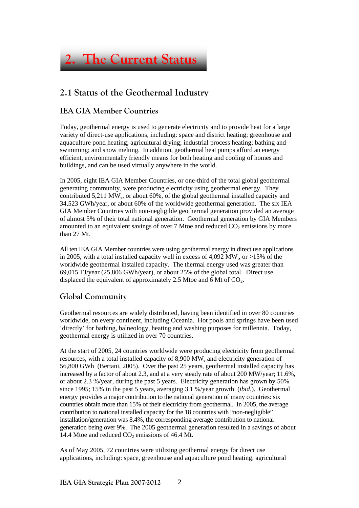

#### **2.1 Status of the Geothermal Industry**

#### **IEA GIA Member Countries**

Today, geothermal energy is used to generate electricity and to provide heat for a large variety of direct-use applications, including: space and district heating; greenhouse and aquaculture pond heating; agricultural drying; industrial process heating; bathing and swimming; and snow melting. In addition, geothermal heat pumps afford an energy efficient, environmentally friendly means for both heating and cooling of homes and buildings, and can be used virtually anywhere in the world.

In 2005, eight IEA GIA Member Countries, or one-third of the total global geothermal generating community, were producing electricity using geothermal energy. They contributed 5,211 MWe, or about 60%, of the global geothermal installed capacity and 34,523 GWh/year, or about 60% of the worldwide geothermal generation. The six IEA GIA Member Countries with non-negligible geothermal generation provided an average of almost 5% of their total national generation. Geothermal generation by GIA Members amounted to an equivalent savings of over  $7$  Mtoe and reduced  $CO<sub>2</sub>$  emissions by more than 27 Mt.

All ten IEA GIA Member countries were using geothermal energy in direct use applications in 2005, with a total installed capacity well in excess of 4,092 MW<sub>t</sub>, or  $>15\%$  of the worldwide geothermal installed capacity. The thermal energy used was greater than 69,015 TJ/year (25,806 GWh/year), or about 25% of the global total. Direct use displaced the equivalent of approximately 2.5 Mtoe and 6 Mt of  $CO<sub>2</sub>$ .

#### **Global Community**

Geothermal resources are widely distributed, having been identified in over 80 countries worldwide, on every continent, including Oceania. Hot pools and springs have been used 'directly' for bathing, balneology, heating and washing purposes for millennia. Today, geothermal energy is utilized in over 70 countries.

At the start of 2005, 24 countries worldwide were producing electricity from geothermal resources, with a total installed capacity of 8,900 MW<sub>e</sub> and electricity generation of 56,800 GWh (Bertani, 2005). Over the past 25 years, geothermal installed capacity has increased by a factor of about 2.3, and at a very steady rate of about 200 MW/year; 11.6%, or about 2.3 %/year, during the past 5 years. Electricity generation has grown by 50% since 1995; 15% in the past 5 years, averaging 3.1 %/year growth (*ibid*.). Geothermal energy provides a major contribution to the national generation of many countries: six countries obtain more than 15% of their electricity from geothermal. In 2005, the average contribution to national installed capacity for the 18 countries with "non-negligible" installation/generation was 8.4%, the corresponding average contribution to national generation being over 9%. The 2005 geothermal generation resulted in a savings of about 14.4 Mtoe and reduced  $CO<sub>2</sub>$  emissions of 46.4 Mt.

As of May 2005, 72 countries were utilizing geothermal energy for direct use applications, including: space, greenhouse and aquaculture pond heating, agricultural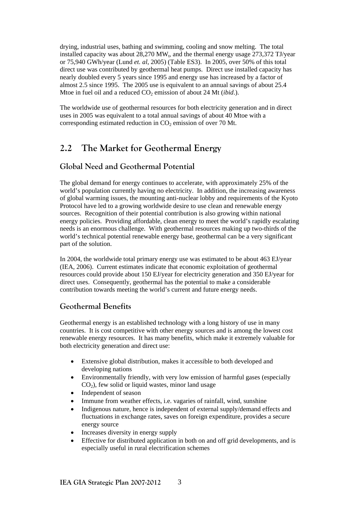drying, industrial uses, bathing and swimming, cooling and snow melting. The total installed capacity was about  $28,270$  MW<sub>t</sub>, and the thermal energy usage  $273.372$  TJ/year or 75,940 GWh/year (Lund *et. al*, 2005) (Table ES3). In 2005, over 50% of this total direct use was contributed by geothermal heat pumps. Direct use installed capacity has nearly doubled every 5 years since 1995 and energy use has increased by a factor of almost 2.5 since 1995. The 2005 use is equivalent to an annual savings of about 25.4 Mtoe in fuel oil and a reduced  $CO<sub>2</sub>$  emission of about 24 Mt (*ibid.*).

The worldwide use of geothermal resources for both electricity generation and in direct uses in 2005 was equivalent to a total annual savings of about 40 Mtoe with a corresponding estimated reduction in  $CO<sub>2</sub>$  emission of over 70 Mt.

#### **2.2 The Market for Geothermal Energy**

#### **Global Need and Geothermal Potential**

The global demand for energy continues to accelerate, with approximately 25% of the world's population currently having no electricity. In addition, the increasing awareness of global warming issues, the mounting anti-nuclear lobby and requirements of the Kyoto Protocol have led to a growing worldwide desire to use clean and renewable energy sources. Recognition of their potential contribution is also growing within national energy policies. Providing affordable, clean energy to meet the world's rapidly escalating needs is an enormous challenge. With geothermal resources making up two-thirds of the world's technical potential renewable energy base, geothermal can be a very significant part of the solution.

In 2004, the worldwide total primary energy use was estimated to be about 463 EJ/year (IEA, 2006). Current estimates indicate that economic exploitation of geothermal resources could provide about 150 EJ/year for electricity generation and 350 EJ/year for direct uses. Consequently, geothermal has the potential to make a considerable contribution towards meeting the world's current and future energy needs.

#### **Geothermal Benefits**

Geothermal energy is an established technology with a long history of use in many countries. It is cost competitive with other energy sources and is among the lowest cost renewable energy resources. It has many benefits, which make it extremely valuable for both electricity generation and direct use:

- Extensive global distribution, makes it accessible to both developed and developing nations
- Environmentally friendly, with very low emission of harmful gases (especially  $CO<sub>2</sub>$ ), few solid or liquid wastes, minor land usage
- Independent of season
- Immune from weather effects, i.e. vagaries of rainfall, wind, sunshine
- Indigenous nature, hence is independent of external supply/demand effects and fluctuations in exchange rates, saves on foreign expenditure, provides a secure energy source
- Increases diversity in energy supply
- Effective for distributed application in both on and off grid developments, and is especially useful in rural electrification schemes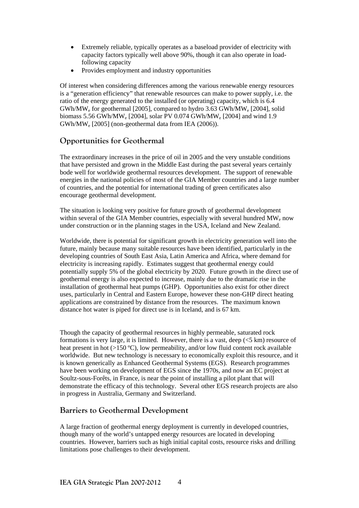- Extremely reliable, typically operates as a baseload provider of electricity with capacity factors typically well above 90%, though it can also operate in loadfollowing capacity
- Provides employment and industry opportunities

Of interest when considering differences among the various renewable energy resources is a "generation efficiency" that renewable resources can make to power supply, i.e. the ratio of the energy generated to the installed (or operating) capacity, which is 6.4 GWh/MW<sub>e</sub> for geothermal [2005], compared to hydro  $3.63$  GWh/MW<sub>e</sub> [2004], solid biomass 5.56 GWh/MW<sub>e</sub> [2004], solar PV 0.074 GWh/MW<sub>e</sub> [2004] and wind 1.9 GWh/MWe [2005] (non-geothermal data from IEA (2006)).

#### **Opportunities for Geothermal**

The extraordinary increases in the price of oil in 2005 and the very unstable conditions that have persisted and grown in the Middle East during the past several years certainly bode well for worldwide geothermal resources development. The support of renewable energies in the national policies of most of the GIA Member countries and a large number of countries, and the potential for international trading of green certificates also encourage geothermal development.

The situation is looking very positive for future growth of geothermal development within several of the GIA Member countries, especially with several hundred  $MW_e$  now under construction or in the planning stages in the USA, Iceland and New Zealand.

Worldwide, there is potential for significant growth in electricity generation well into the future, mainly because many suitable resources have been identified, particularly in the developing countries of South East Asia, Latin America and Africa, where demand for electricity is increasing rapidly. Estimates suggest that geothermal energy could potentially supply 5% of the global electricity by 2020. Future growth in the direct use of geothermal energy is also expected to increase, mainly due to the dramatic rise in the installation of geothermal heat pumps (GHP). Opportunities also exist for other direct uses, particularly in Central and Eastern Europe, however these non-GHP direct heating applications are constrained by distance from the resources. The maximum known distance hot water is piped for direct use is in Iceland, and is 67 km.

Though the capacity of geothermal resources in highly permeable, saturated rock formations is very large, it is limited. However, there is a vast, deep  $(<5 \text{ km})$  resource of heat present in hot  $(>150 \degree C)$ , low permeability, and/or low fluid content rock available worldwide. But new technology is necessary to economically exploit this resource, and it is known generically as Enhanced Geothermal Systems (EGS). Research programmes have been working on development of EGS since the 1970s, and now an EC project at Soultz-sous-Forêts, in France, is near the point of installing a pilot plant that will demonstrate the efficacy of this technology. Several other EGS research projects are also in progress in Australia, Germany and Switzerland.

#### **Barriers to Geothermal Development**

A large fraction of geothermal energy deployment is currently in developed countries, though many of the world's untapped energy resources are located in developing countries. However, barriers such as high initial capital costs, resource risks and drilling limitations pose challenges to their development.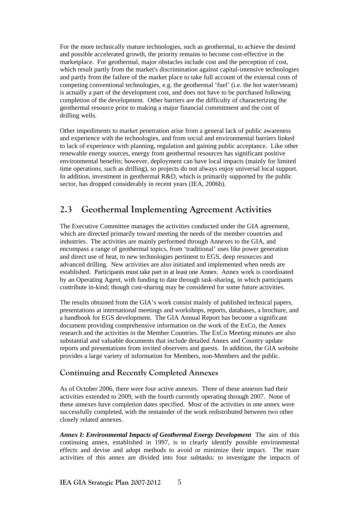For the more technically mature technologies, such as geothermal, to achieve the desired and possible accelerated growth, the priority remains to become cost-effective in the marketplace. For geothermal, major obstacles include cost and the perception of cost, which result partly from the market's discrimination against capital-intensive technologies and partly from the failure of the market place to take full account of the external costs of competing conventional technologies, e.g. the geothermal 'fuel' (i.e. the hot water/steam) is actually a part of the development cost, and does not have to be purchased following completion of the development. Other barriers are the difficulty of characterizing the geothermal resource prior to making a major financial commitment and the cost of drilling wells.

Other impediments to market penetration arise from a general lack of public awareness and experience with the technologies, and from social and environmental barriers linked to lack of experience with planning, regulation and gaining public acceptance. Like other renewable energy sources, energy from geothermal resources has significant positive environmental benefits; however, deployment can have local impacts (mainly for limited time operations, such as drilling), so projects do not always enjoy universal local support. In addition, investment in geothermal R&D, which is primarily supported by the public sector, has dropped considerably in recent years (IEA, 2006b).

#### **2.3 Geothermal Implementing Agreement Activities**

The Executive Committee manages the activities conducted under the GIA agreement, which are directed primarily toward meeting the needs of the member countries and industries. The activities are mainly performed through Annexes to the GIA, and encompass a range of geothermal topics, from 'traditional' uses like power generation and direct use of heat, to new technologies pertinent to EGS, deep resources and advanced drilling. New activities are also initiated and implemented when needs are established. Participants must take part in at least one Annex. Annex work is coordinated by an Operating Agent, with funding to date through task-sharing, in which participants contribute in-kind; though cost-sharing may be considered for some future activities.

The results obtained from the GIA's work consist mainly of published technical papers, presentations at international meetings and workshops, reports, databases, a brochure, and a handbook for EGS development. The GIA Annual Report has become a significant document providing comprehensive information on the work of the ExCo, the Annex research and the activities in the Member Countries. The ExCo Meeting minutes are also substantial and valuable documents that include detailed Annex and Country update reports and presentations from invited observers and guests. In addition, the GIA website provides a large variety of information for Members, non-Members and the public.

#### **Continuing and Recently Completed Annexes**

As of October 2006, there were four active annexes. Three of these annexes had their activities extended to 2009, with the fourth currently operating through 2007. None of these annexes have completion dates specified. Most of the activities in one annex were successfully completed, with the remainder of the work redistributed between two other closely related annexes.

*Annex I: Environmental Impacts of Geothermal Energy Development* The aim of this continuing annex, established in 1997, is to clearly identify possible environmental effects and devise and adopt methods to avoid or minimize their impact. The main activities of this annex are divided into four subtasks: to investigate the impacts of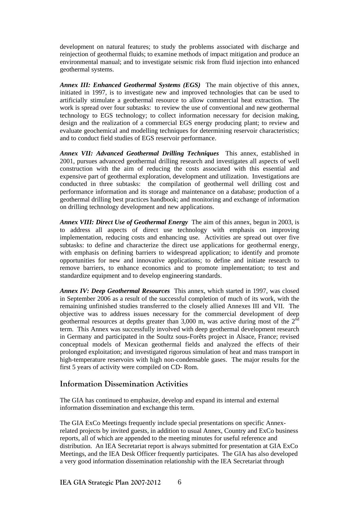development on natural features; to study the problems associated with discharge and reinjection of geothermal fluids; to examine methods of impact mitigation and produce an environmental manual; and to investigate seismic risk from fluid injection into enhanced geothermal systems.

*Annex III: Enhanced Geothermal Systems (EGS)* The main objective of this annex, initiated in 1997, is to investigate new and improved technologies that can be used to artificially stimulate a geothermal resource to allow commercial heat extraction. The work is spread over four subtasks: to review the use of conventional and new geothermal technology to EGS technology; to collect information necessary for decision making, design and the realization of a commercial EGS energy producing plant; to review and evaluate geochemical and modelling techniques for determining reservoir characteristics; and to conduct field studies of EGS reservoir performance.

*Annex VII: Advanced Geothermal Drilling Techniques* This annex, established in 2001, pursues advanced geothermal drilling research and investigates all aspects of well construction with the aim of reducing the costs associated with this essential and expensive part of geothermal exploration, development and utilization. Investigations are conducted in three subtasks: the compilation of geothermal well drilling cost and performance information and its storage and maintenance on a database; production of a geothermal drilling best practices handbook; and monitoring and exchange of information on drilling technology development and new applications.

*Annex VIII: Direct Use of Geothermal Energy* The aim of this annex, begun in 2003, is to address all aspects of direct use technology with emphasis on improving implementation, reducing costs and enhancing use. Activities are spread out over five subtasks: to define and characterize the direct use applications for geothermal energy, with emphasis on defining barriers to widespread application; to identify and promote opportunities for new and innovative applications; to define and initiate research to remove barriers, to enhance economics and to promote implementation; to test and standardize equipment and to develop engineering standards.

*Annex IV: Deep Geothermal Resources* This annex, which started in 1997, was closed in September 2006 as a result of the successful completion of much of its work, with the remaining unfinished studies transferred to the closely allied Annexes III and VII. The objective was to address issues necessary for the commercial development of deep geothermal resources at depths greater than 3,000 m, was active during most of the  $2<sup>nd</sup>$ term. This Annex was successfully involved with deep geothermal development research in Germany and participated in the Soultz sous-Forêts project in Alsace, France; revised conceptual models of Mexican geothermal fields and analyzed the effects of their prolonged exploitation; and investigated rigorous simulation of heat and mass transport in high-temperature reservoirs with high non-condensable gases. The major results for the first 5 years of activity were compiled on CD- Rom.

#### **Information Dissemination Activities**

The GIA has continued to emphasize, develop and expand its internal and external information dissemination and exchange this term.

The GIA ExCo Meetings frequently include special presentations on specific Annexrelated projects by invited guests, in addition to usual Annex, Country and ExCo business reports, all of which are appended to the meeting minutes for useful reference and distribution. An IEA Secretariat report is always submitted for presentation at GIA ExCo Meetings, and the IEA Desk Officer frequently participates. The GIA has also developed a very good information dissemination relationship with the IEA Secretariat through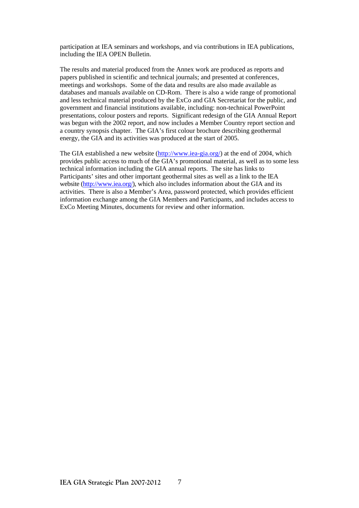participation at IEA seminars and workshops, and via contributions in IEA publications, including the IEA OPEN Bulletin.

The results and material produced from the Annex work are produced as reports and papers published in scientific and technical journals; and presented at conferences, meetings and workshops. Some of the data and results are also made available as databases and manuals available on CD-Rom. There is also a wide range of promotional and less technical material produced by the ExCo and GIA Secretariat for the public, and government and financial institutions available, including: non-technical PowerPoint presentations, colour posters and reports. Significant redesign of the GIA Annual Report was begun with the 2002 report, and now includes a Member Country report section and a country synopsis chapter. The GIA's first colour brochure describing geothermal energy, the GIA and its activities was produced at the start of 2005.

The GIA established a new website (http://www.iea-gia.org/) at the end of 2004, which provides public access to much of the GIA's promotional material, as well as to some less technical information including the GIA annual reports. The site has links to Participants' sites and other important geothermal sites as well as a link to the IEA website (http://www.iea.org/), which also includes information about the GIA and its activities. There is also a Member's Area, password protected, which provides efficient information exchange among the GIA Members and Participants, and includes access to ExCo Meeting Minutes, documents for review and other information.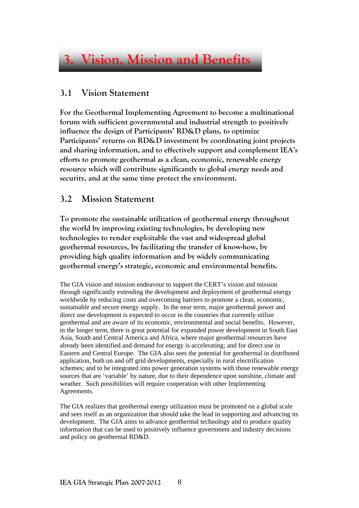### **3. Vision, Mission and Benefits**

#### **3.1 Vision Statement**

**For the Geothermal Implementing Agreement to become a multinational forum with sufficient governmental and industrial strength to positively influence the design of Participants' RD&D plans, to optimize Participants' returns on RD&D investment by coordinating joint projects and sharing information, and to effectively support and complement IEA's efforts to promote geothermal as a clean, economic, renewable energy resource which will contribute significantly to global energy needs and security, and at the same time protect the environment.** 

#### **3.2 Mission Statement**

**To promote the sustainable utilization of geothermal energy throughout the world by improving existing technologies, by developing new technologies to render exploitable the vast and widespread global geothermal resources, by facilitating the transfer of know-how, by providing high quality information and by widely communicating geothermal energy's strategic, economic and environmental benefits.** 

The GIA vision and mission endeavour to support the CERT's vision and mission through significantly extending the development and deployment of geothermal energy worldwide by reducing costs and overcoming barriers to promote a clean, economic, sustainable and secure energy supply. In the near term, major geothermal power and direct use development is expected to occur in the countries that currently utilize geothermal and are aware of its economic, environmental and social benefits. However, in the longer term, there is great potential for expanded power development in South East Asia, South and Central America and Africa, where major geothermal resources have already been identified and demand for energy is accelerating; and for direct use in Eastern and Central Europe. The GIA also sees the potential for geothermal in distributed application, both on and off grid developments, especially in rural electrification schemes; and to be integrated into power generation systems with those renewable energy sources that are 'variable' by nature, due to their dependence upon sunshine, climate and weather. Such possibilities will require cooperation with other Implementing Agreements.

The GIA realizes that geothermal energy utilization must be promoted on a global scale and sees itself as an organization that should take the lead in supporting and advancing its development. The GIA aims to advance geothermal technology and to produce quality information that can be used to positively influence government and industry decisions and policy on geothermal RD&D.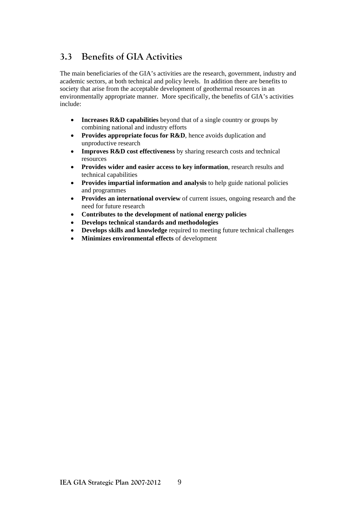### **3.3 Benefits of GIA Activities**

The main beneficiaries of the GIA's activities are the research, government, industry and academic sectors, at both technical and policy levels. In addition there are benefits to society that arise from the acceptable development of geothermal resources in an environmentally appropriate manner. More specifically, the benefits of GIA's activities include:

- **Increases R&D capabilities** beyond that of a single country or groups by combining national and industry efforts
- **Provides appropriate focus for R&D**, hence avoids duplication and unproductive research
- **Improves R&D cost effectiveness** by sharing research costs and technical resources
- **Provides wider and easier access to key information**, research results and technical capabilities
- **Provides impartial information and analysis** to help guide national policies and programmes
- **Provides an international overview** of current issues, ongoing research and the need for future research
- **Contributes to the development of national energy policies**
- **Develops technical standards and methodologies**
- **Develops skills and knowledge** required to meeting future technical challenges
- **Minimizes environmental effects** of development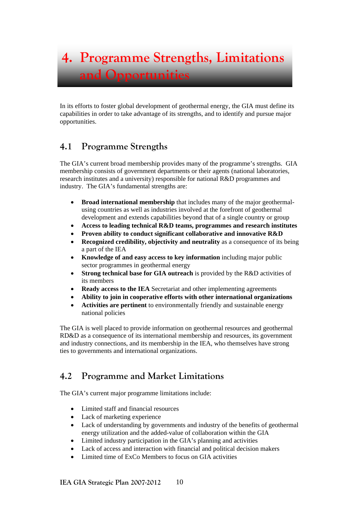In its efforts to foster global development of geothermal energy, the GIA must define its capabilities in order to take advantage of its strengths, and to identify and pursue major opportunities.

#### **4.1 Programme Strengths**

The GIA's current broad membership provides many of the programme's strengths. GIA membership consists of government departments or their agents (national laboratories, research institutes and a university) responsible for national R&D programmes and industry. The GIA's fundamental strengths are:

- **Broad international membership** that includes many of the major geothermalusing countries as well as industries involved at the forefront of geothermal development and extends capabilities beyond that of a single country or group
- **Access to leading technical R&D teams, programmes and research institutes**
- **Proven ability to conduct significant collaborative and innovative R&D**
- **Recognized credibility, objectivity and neutrality** as a consequence of its being a part of the IEA
- **Knowledge of and easy access to key information** including major public sector programmes in geothermal energy
- **Strong technical base for GIA outreach** is provided by the R&D activities of its members
- **Ready access to the IEA** Secretariat and other implementing agreements
- **Ability to join in cooperative efforts with other international organizations**
- **Activities are pertinent** to environmentally friendly and sustainable energy national policies

The GIA is well placed to provide information on geothermal resources and geothermal RD&D as a consequence of its international membership and resources, its government and industry connections, and its membership in the IEA, who themselves have strong ties to governments and international organizations.

#### **4.2 Programme and Market Limitations**

The GIA's current major programme limitations include:

- Limited staff and financial resources
- Lack of marketing experience
- Lack of understanding by governments and industry of the benefits of geothermal energy utilization and the added-value of collaboration within the GIA
- Limited industry participation in the GIA's planning and activities
- Lack of access and interaction with financial and political decision makers
- Limited time of ExCo Members to focus on GIA activities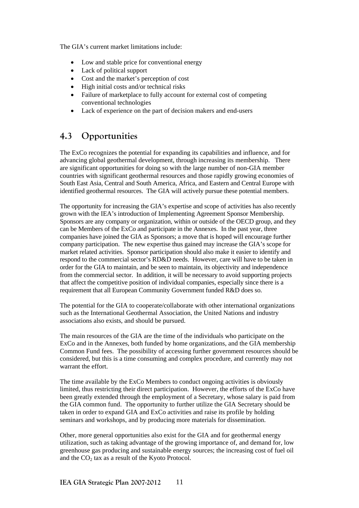The GIA's current market limitations include:

- Low and stable price for conventional energy
- Lack of political support
- Cost and the market's perception of cost
- High initial costs and/or technical risks
- Failure of marketplace to fully account for external cost of competing conventional technologies
- Lack of experience on the part of decision makers and end-users

#### **4.3 Opportunities**

The ExCo recognizes the potential for expanding its capabilities and influence, and for advancing global geothermal development, through increasing its membership. There are significant opportunities for doing so with the large number of non-GIA member countries with significant geothermal resources and those rapidly growing economies of South East Asia, Central and South America, Africa, and Eastern and Central Europe with identified geothermal resources. The GIA will actively pursue these potential members.

The opportunity for increasing the GIA's expertise and scope of activities has also recently grown with the IEA's introduction of Implementing Agreement Sponsor Membership. Sponsors are any company or organization, within or outside of the OECD group, and they can be Members of the ExCo and participate in the Annexes. In the past year, three companies have joined the GIA as Sponsors; a move that is hoped will encourage further company participation. The new expertise thus gained may increase the GIA's scope for market related activities. Sponsor participation should also make it easier to identify and respond to the commercial sector's RD&D needs. However, care will have to be taken in order for the GIA to maintain, and be seen to maintain, its objectivity and independence from the commercial sector. In addition, it will be necessary to avoid supporting projects that affect the competitive position of individual companies, especially since there is a requirement that all European Community Government funded R&D does so.

The potential for the GIA to cooperate/collaborate with other international organizations such as the International Geothermal Association, the United Nations and industry associations also exists, and should be pursued.

The main resources of the GIA are the time of the individuals who participate on the ExCo and in the Annexes, both funded by home organizations, and the GIA membership Common Fund fees. The possibility of accessing further government resources should be considered, but this is a time consuming and complex procedure, and currently may not warrant the effort.

The time available by the ExCo Members to conduct ongoing activities is obviously limited, thus restricting their direct participation. However, the efforts of the ExCo have been greatly extended through the employment of a Secretary, whose salary is paid from the GIA common fund. The opportunity to further utilize the GIA Secretary should be taken in order to expand GIA and ExCo activities and raise its profile by holding seminars and workshops, and by producing more materials for dissemination.

Other, more general opportunities also exist for the GIA and for geothermal energy utilization, such as taking advantage of the growing importance of, and demand for, low greenhouse gas producing and sustainable energy sources; the increasing cost of fuel oil and the  $CO<sub>2</sub>$  tax as a result of the Kyoto Protocol.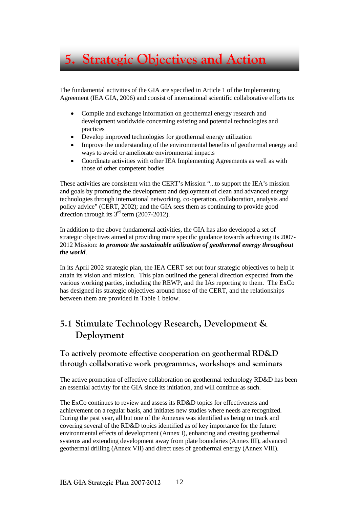

The fundamental activities of the GIA are specified in Article 1 of the Implementing Agreement (IEA GIA, 2006) and consist of international scientific collaborative efforts to:

- Compile and exchange information on geothermal energy research and development worldwide concerning existing and potential technologies and practices
- Develop improved technologies for geothermal energy utilization
- Improve the understanding of the environmental benefits of geothermal energy and ways to avoid or ameliorate environmental impacts
- Coordinate activities with other IEA Implementing Agreements as well as with those of other competent bodies

These activities are consistent with the CERT's Mission "...to support the IEA's mission and goals by promoting the development and deployment of clean and advanced energy technologies through international networking, co-operation, collaboration, analysis and policy advice" (CERT, 2002); and the GIA sees them as continuing to provide good direction through its  $3<sup>rd</sup>$  term (2007-2012).

In addition to the above fundamental activities, the GIA has also developed a set of strategic objectives aimed at providing more specific guidance towards achieving its 2007- 2012 Mission: *to promote the sustainable utilization of geothermal energy throughout the world*.

In its April 2002 strategic plan, the IEA CERT set out four strategic objectives to help it attain its vision and mission. This plan outlined the general direction expected from the various working parties, including the REWP, and the IAs reporting to them. The ExCo has designed its strategic objectives around those of the CERT, and the relationships between them are provided in Table 1 below.

#### **5.1 Stimulate Technology Research, Development & Deployment**

#### **To actively promote effective cooperation on geothermal RD&D through collaborative work programmes, workshops and seminars**

The active promotion of effective collaboration on geothermal technology RD&D has been an essential activity for the GIA since its initiation, and will continue as such.

The ExCo continues to review and assess its RD&D topics for effectiveness and achievement on a regular basis, and initiates new studies where needs are recognized. During the past year, all but one of the Annexes was identified as being on track and covering several of the RD&D topics identified as of key importance for the future: environmental effects of development (Annex I), enhancing and creating geothermal systems and extending development away from plate boundaries (Annex III), advanced geothermal drilling (Annex VII) and direct uses of geothermal energy (Annex VIII).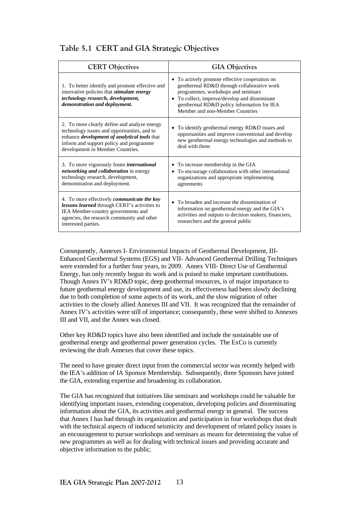#### **Table 5.1 CERT and GIA Strategic Objectives**

| <b>CERT Objectives</b>                                                                                                                                                                                                                   | <b>GIA Objectives</b>                                                                                                                                                                                                                                                |  |  |
|------------------------------------------------------------------------------------------------------------------------------------------------------------------------------------------------------------------------------------------|----------------------------------------------------------------------------------------------------------------------------------------------------------------------------------------------------------------------------------------------------------------------|--|--|
| 1. To better identify and promote effective and<br>innovative policies that <i>stimulate</i> energy<br>technology research, development,<br>demonstration and deployment.                                                                | • To actively promote effective cooperation on<br>geothermal RD&D through collaborative work<br>programmes, workshops and seminars<br>• To collect, improve/develop and disseminate<br>geothermal RD&D policy information for IEA<br>Member and non-Member Countries |  |  |
| 2. To more clearly define and analyze energy<br>technology issues and opportunities, and to<br>enhance <i>development</i> of <i>analytical</i> tools that<br>inform and support policy and programme<br>development in Member Countries. | To identify geothermal energy RD&D issues and<br>$\bullet$<br>opportunities and improve conventional and develop<br>new geothermal energy technologies and methods to<br>deal with them                                                                              |  |  |
| 3. To more vigorously foster <i>international</i><br>networking and collaboration in energy<br>technology research, development,<br>demonstration and deployment.                                                                        | To increase membership in the GIA<br>٠<br>To encourage collaboration with other international<br>$\bullet$<br>organizations and appropriate implementing<br>agreements                                                                                               |  |  |
| 4. To more effectively communicate the key<br>lessons learned through CERT's activities to<br>IEA Member-country governments and<br>agencies, the research community and other<br>interested parties.                                    | • To broaden and increase the dissemination of<br>information on geothermal energy and the GIA's<br>activities and outputs to decision makers, financiers,<br>researchers and the general public                                                                     |  |  |

Consequently, Annexes I- Environmental Impacts of Geothermal Development, III-Enhanced Geothermal Systems (EGS) and VII- Advanced Geothermal Drilling Techniques were extended for a further four years, to 2009. Annex VIII- Direct Use of Geothermal Energy, has only recently begun its work and is poised to make important contributions. Though Annex IV's RD&D topic, deep geothermal resources, is of major importance to future geothermal energy development and use, its effectiveness had been slowly declining due to both completion of some aspects of its work, and the slow migration of other activities to the closely allied Annexes III and VII. It was recognized that the remainder of Annex IV's activities were still of importance; consequently, these were shifted to Annexes III and VII, and the Annex was closed.

Other key RD&D topics have also been identified and include the sustainable use of geothermal energy and geothermal power generation cycles. The ExCo is currently reviewing the draft Annexes that cover these topics.

The need to have greater direct input from the commercial sector was recently helped with the IEA's addition of IA Sponsor Membership. Subsequently, three Sponsors have joined the GIA, extending expertise and broadening its collaboration.

The GIA has recognized that initiatives like seminars and workshops could be valuable for identifying important issues, extending cooperation, developing policies and disseminating information about the GIA, its activities and geothermal energy in general. The success that Annex I has had through its organization and participation in four workshops that dealt with the technical aspects of induced seismicity and development of related policy issues is an encouragement to pursue workshops and seminars as means for determining the value of new programmes as well as for dealing with technical issues and providing accurate and objective information to the public.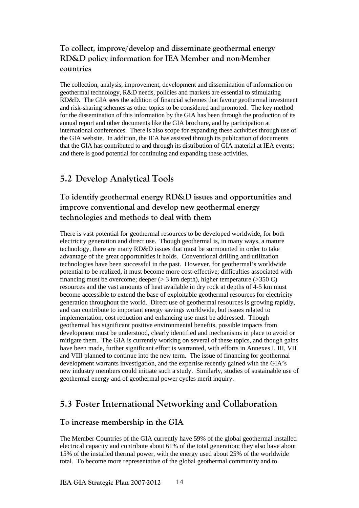#### **To collect, improve/develop and disseminate geothermal energy RD&D policy information for IEA Member and non-Member countries**

The collection, analysis, improvement, development and dissemination of information on geothermal technology, R&D needs, policies and markets are essential to stimulating RD&D. The GIA sees the addition of financial schemes that favour geothermal investment and risk-sharing schemes as other topics to be considered and promoted. The key method for the dissemination of this information by the GIA has been through the production of its annual report and other documents like the GIA brochure, and by participation at international conferences. There is also scope for expanding these activities through use of the GIA website. In addition, the IEA has assisted through its publication of documents that the GIA has contributed to and through its distribution of GIA material at IEA events; and there is good potential for continuing and expanding these activities.

#### **5.2 Develop Analytical Tools**

#### **To identify geothermal energy RD&D issues and opportunities and improve conventional and develop new geothermal energy technologies and methods to deal with them**

There is vast potential for geothermal resources to be developed worldwide, for both electricity generation and direct use. Though geothermal is, in many ways, a mature technology, there are many RD&D issues that must be surmounted in order to take advantage of the great opportunities it holds. Conventional drilling and utilization technologies have been successful in the past. However, for geothermal's worldwide potential to be realized, it must become more cost-effective; difficulties associated with financing must be overcome; deeper ( $> 3$  km depth), higher temperature ( $> 350$  C) resources and the vast amounts of heat available in dry rock at depths of 4-5 km must become accessible to extend the base of exploitable geothermal resources for electricity generation throughout the world. Direct use of geothermal resources is growing rapidly, and can contribute to important energy savings worldwide, but issues related to implementation, cost reduction and enhancing use must be addressed. Though geothermal has significant positive environmental benefits, possible impacts from development must be understood, clearly identified and mechanisms in place to avoid or mitigate them. The GIA is currently working on several of these topics, and though gains have been made, further significant effort is warranted, with efforts in Annexes I, III, VII and VIII planned to continue into the new term. The issue of financing for geothermal development warrants investigation, and the expertise recently gained with the GIA's new industry members could initiate such a study. Similarly, studies of sustainable use of geothermal energy and of geothermal power cycles merit inquiry.

#### **5.3 Foster International Networking and Collaboration**

#### **To increase membership in the GIA**

The Member Countries of the GIA currently have 59% of the global geothermal installed electrical capacity and contribute about 61% of the total generation; they also have about 15% of the installed thermal power, with the energy used about 25% of the worldwide total. To become more representative of the global geothermal community and to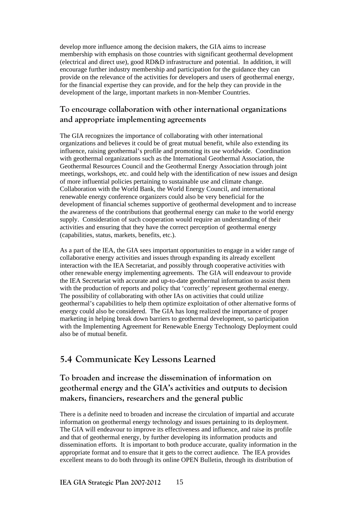develop more influence among the decision makers, the GIA aims to increase membership with emphasis on those countries with significant geothermal development (electrical and direct use), good RD&D infrastructure and potential. In addition, it will encourage further industry membership and participation for the guidance they can provide on the relevance of the activities for developers and users of geothermal energy, for the financial expertise they can provide, and for the help they can provide in the development of the large, important markets in non-Member Countries.

#### **To encourage collaboration with other international organizations and appropriate implementing agreements**

The GIA recognizes the importance of collaborating with other international organizations and believes it could be of great mutual benefit, while also extending its influence, raising geothermal's profile and promoting its use worldwide. Coordination with geothermal organizations such as the International Geothermal Association, the Geothermal Resources Council and the Geothermal Energy Association through joint meetings, workshops, etc. and could help with the identification of new issues and design of more influential policies pertaining to sustainable use and climate change. Collaboration with the World Bank, the World Energy Council, and international renewable energy conference organizers could also be very beneficial for the development of financial schemes supportive of geothermal development and to increase the awareness of the contributions that geothermal energy can make to the world energy supply. Consideration of such cooperation would require an understanding of their activities and ensuring that they have the correct perception of geothermal energy (capabilities, status, markets, benefits, etc.).

As a part of the IEA, the GIA sees important opportunities to engage in a wider range of collaborative energy activities and issues through expanding its already excellent interaction with the IEA Secretariat, and possibly through cooperative activities with other renewable energy implementing agreements. The GIA will endeavour to provide the IEA Secretariat with accurate and up-to-date geothermal information to assist them with the production of reports and policy that 'correctly' represent geothermal energy. The possibility of collaborating with other IAs on activities that could utilize geothermal's capabilities to help them optimize exploitation of other alternative forms of energy could also be considered. The GIA has long realized the importance of proper marketing in helping break down barriers to geothermal development, so participation with the Implementing Agreement for Renewable Energy Technology Deployment could also be of mutual benefit.

#### **5.4 Communicate Key Lessons Learned**

#### **To broaden and increase the dissemination of information on geothermal energy and the GIA's activities and outputs to decision makers, financiers, researchers and the general public**

There is a definite need to broaden and increase the circulation of impartial and accurate information on geothermal energy technology and issues pertaining to its deployment. The GIA will endeavour to improve its effectiveness and influence, and raise its profile and that of geothermal energy, by further developing its information products and dissemination efforts. It is important to both produce accurate, quality information in the appropriate format and to ensure that it gets to the correct audience. The IEA provides excellent means to do both through its online OPEN Bulletin, through its distribution of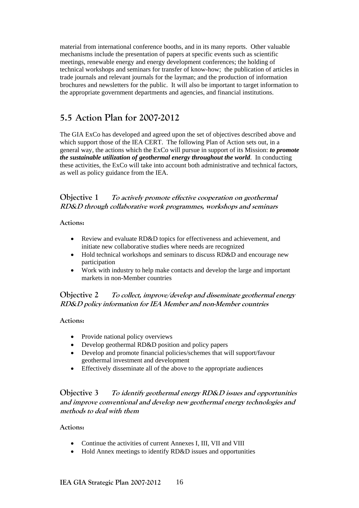material from international conference booths, and in its many reports. Other valuable mechanisms include the presentation of papers at specific events such as scientific meetings, renewable energy and energy development conferences; the holding of technical workshops and seminars for transfer of know-how; the publication of articles in trade journals and relevant journals for the layman; and the production of information brochures and newsletters for the public. It will also be important to target information to the appropriate government departments and agencies, and financial institutions.

#### **5.5 Action Plan for 2007-2012**

The GIA ExCo has developed and agreed upon the set of objectives described above and which support those of the IEA CERT. The following Plan of Action sets out, in a general way, the actions which the ExCo will pursue in support of its Mission: *to promote the sustainable utilization of geothermal energy throughout the world*. In conducting these activities, the ExCo will take into account both administrative and technical factors, as well as policy guidance from the IEA.

#### **Objective 1 To actively promote effective cooperation on geothermal RD&D through collaborative work programmes, workshops and seminars**

#### **Actions:**

- Review and evaluate RD&D topics for effectiveness and achievement, and initiate new collaborative studies where needs are recognized
- Hold technical workshops and seminars to discuss RD&D and encourage new participation
- Work with industry to help make contacts and develop the large and important markets in non-Member countries

#### **Objective 2 To collect, improve/develop and disseminate geothermal energy RD&D policy information for IEA Member and non-Member countries**

#### **Actions:**

- Provide national policy overviews
- Develop geothermal RD&D position and policy papers
- Develop and promote financial policies/schemes that will support/favour geothermal investment and development
- Effectively disseminate all of the above to the appropriate audiences

#### **Objective 3 To identify geothermal energy RD&D issues and opportunities and improve conventional and develop new geothermal energy technologies and methods to deal with them**

#### **Actions:**

- Continue the activities of current Annexes I, III, VII and VIII
- Hold Annex meetings to identify RD&D issues and opportunities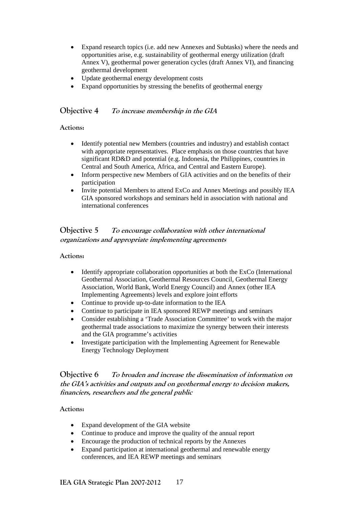- Expand research topics (i.e. add new Annexes and Subtasks) where the needs and opportunities arise, e.g. sustainability of geothermal energy utilization (draft Annex V), geothermal power generation cycles (draft Annex VI), and financing geothermal development
- Update geothermal energy development costs
- Expand opportunities by stressing the benefits of geothermal energy

#### **Objective 4 To increase membership in the GIA**

#### **Actions:**

- Identify potential new Members (countries and industry) and establish contact with appropriate representatives. Place emphasis on those countries that have significant RD&D and potential (e.g. Indonesia, the Philippines, countries in Central and South America, Africa, and Central and Eastern Europe).
- Inform perspective new Members of GIA activities and on the benefits of their participation
- Invite potential Members to attend ExCo and Annex Meetings and possibly IEA GIA sponsored workshops and seminars held in association with national and international conferences

#### **Objective 5 To encourage collaboration with other international organizations and appropriate implementing agreements**

#### **Actions:**

- Identify appropriate collaboration opportunities at both the ExCo (International Geothermal Association, Geothermal Resources Council, Geothermal Energy Association, World Bank, World Energy Council) and Annex (other IEA Implementing Agreements) levels and explore joint efforts
- Continue to provide up-to-date information to the IEA
- Continue to participate in IEA sponsored REWP meetings and seminars
- Consider establishing a 'Trade Association Committee' to work with the major geothermal trade associations to maximize the synergy between their interests and the GIA programme's activities
- Investigate participation with the Implementing Agreement for Renewable Energy Technology Deployment

#### **Objective 6 To broaden and increase the dissemination of information on the GIA's activities and outputs and on geothermal energy to decision makers, financiers, researchers and the general public**

#### **Actions:**

- Expand development of the GIA website
- Continue to produce and improve the quality of the annual report
- Encourage the production of technical reports by the Annexes
- Expand participation at international geothermal and renewable energy conferences, and IEA REWP meetings and seminars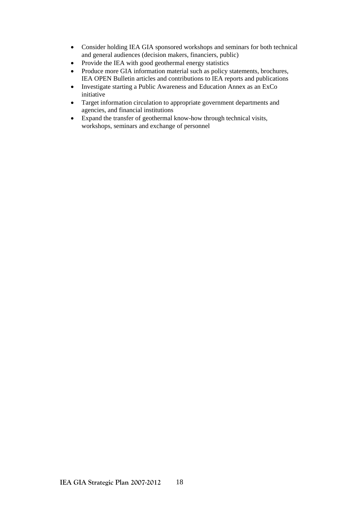- Consider holding IEA GIA sponsored workshops and seminars for both technical and general audiences (decision makers, financiers, public)
- Provide the IEA with good geothermal energy statistics
- Produce more GIA information material such as policy statements, brochures, IEA OPEN Bulletin articles and contributions to IEA reports and publications
- Investigate starting a Public Awareness and Education Annex as an ExCo initiative
- Target information circulation to appropriate government departments and agencies, and financial institutions
- Expand the transfer of geothermal know-how through technical visits, workshops, seminars and exchange of personnel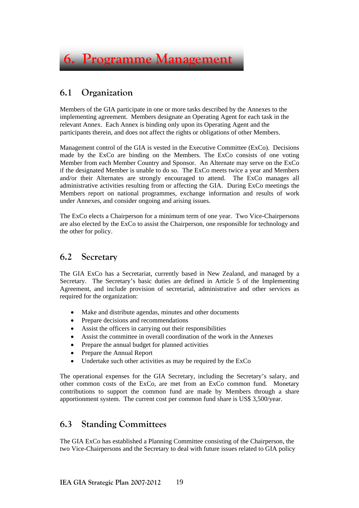

#### **6.1 Organization**

Members of the GIA participate in one or more tasks described by the Annexes to the implementing agreement. Members designate an Operating Agent for each task in the relevant Annex. Each Annex is binding only upon its Operating Agent and the participants therein, and does not affect the rights or obligations of other Members.

Management control of the GIA is vested in the Executive Committee (ExCo). Decisions made by the ExCo are binding on the Members. The ExCo consists of one voting Member from each Member Country and Sponsor. An Alternate may serve on the ExCo if the designated Member is unable to do so. The ExCo meets twice a year and Members and/or their Alternates are strongly encouraged to attend. The ExCo manages all administrative activities resulting from or affecting the GIA. During ExCo meetings the Members report on national programmes, exchange information and results of work under Annexes, and consider ongoing and arising issues.

The ExCo elects a Chairperson for a minimum term of one year. Two Vice-Chairpersons are also elected by the ExCo to assist the Chairperson, one responsible for technology and the other for policy.

#### **6.2 Secretary**

The GIA ExCo has a Secretariat, currently based in New Zealand, and managed by a Secretary. The Secretary's basic duties are defined in Article 5 of the Implementing Agreement, and include provision of secretarial, administrative and other services as required for the organization:

- Make and distribute agendas, minutes and other documents
- Prepare decisions and recommendations
- Assist the officers in carrying out their responsibilities
- Assist the committee in overall coordination of the work in the Annexes
- Prepare the annual budget for planned activities
- Prepare the Annual Report
- Undertake such other activities as may be required by the ExCo

The operational expenses for the GIA Secretary, including the Secretary's salary, and other common costs of the ExCo, are met from an ExCo common fund. Monetary contributions to support the common fund are made by Members through a share apportionment system. The current cost per common fund share is US\$ 3,500/year.

#### **6.3 Standing Committees**

The GIA ExCo has established a Planning Committee consisting of the Chairperson, the two Vice-Chairpersons and the Secretary to deal with future issues related to GIA policy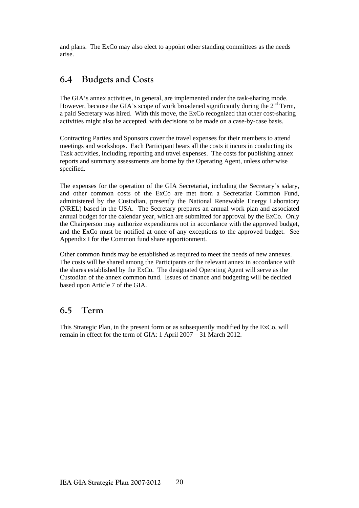and plans. The ExCo may also elect to appoint other standing committees as the needs arise.

#### **6.4 Budgets and Costs**

The GIA's annex activities, in general, are implemented under the task-sharing mode. However, because the GIA's scope of work broadened significantly during the  $2<sup>nd</sup>$  Term, a paid Secretary was hired. With this move, the ExCo recognized that other cost-sharing activities might also be accepted, with decisions to be made on a case-by-case basis.

Contracting Parties and Sponsors cover the travel expenses for their members to attend meetings and workshops. Each Participant bears all the costs it incurs in conducting its Task activities, including reporting and travel expenses. The costs for publishing annex reports and summary assessments are borne by the Operating Agent, unless otherwise specified.

The expenses for the operation of the GIA Secretariat, including the Secretary's salary, and other common costs of the ExCo are met from a Secretariat Common Fund, administered by the Custodian, presently the National Renewable Energy Laboratory (NREL) based in the USA. The Secretary prepares an annual work plan and associated annual budget for the calendar year, which are submitted for approval by the ExCo. Only the Chairperson may authorize expenditures not in accordance with the approved budget, and the ExCo must be notified at once of any exceptions to the approved budget. See Appendix I for the Common fund share apportionment.

Other common funds may be established as required to meet the needs of new annexes. The costs will be shared among the Participants or the relevant annex in accordance with the shares established by the ExCo. The designated Operating Agent will serve as the Custodian of the annex common fund. Issues of finance and budgeting will be decided based upon Article 7 of the GIA.

#### **6.5 Term**

This Strategic Plan, in the present form or as subsequently modified by the ExCo, will remain in effect for the term of GIA: 1 April 2007 – 31 March 2012.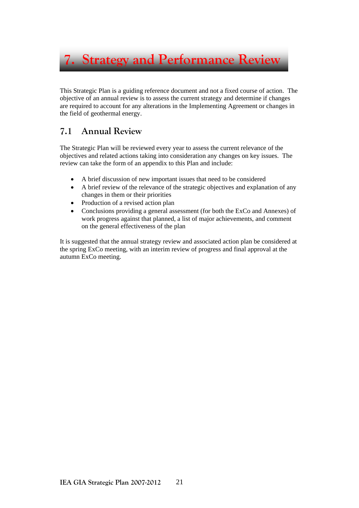**7. Strategy and Performance Review** 

This Strategic Plan is a guiding reference document and not a fixed course of action. The objective of an annual review is to assess the current strategy and determine if changes are required to account for any alterations in the Implementing Agreement or changes in the field of geothermal energy.

#### **7.1 Annual Review**

The Strategic Plan will be reviewed every year to assess the current relevance of the objectives and related actions taking into consideration any changes on key issues. The review can take the form of an appendix to this Plan and include:

- A brief discussion of new important issues that need to be considered
- A brief review of the relevance of the strategic objectives and explanation of any changes in them or their priorities
- Production of a revised action plan
- Conclusions providing a general assessment (for both the ExCo and Annexes) of work progress against that planned, a list of major achievements, and comment on the general effectiveness of the plan

It is suggested that the annual strategy review and associated action plan be considered at the spring ExCo meeting, with an interim review of progress and final approval at the autumn ExCo meeting.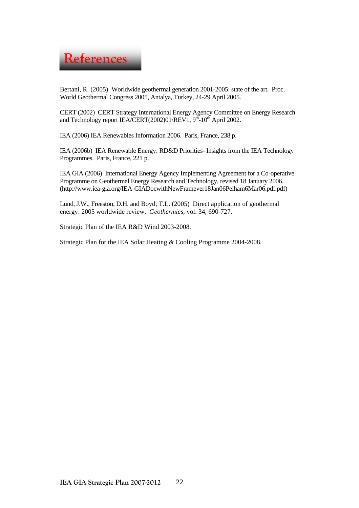

Bertani, R. (2005) Worldwide geothermal generation 2001-2005: state of the art. Proc. World Geothermal Congress 2005, Antalya, Turkey, 24-29 April 2005.

CERT (2002) CERT Strategy International Energy Agency Committee on Energy Research and Technology report IEA/CERT(2002)01/REV1,  $9<sup>th</sup>$ -10<sup>th</sup> April 2002.

IEA (2006) IEA Renewables Information 2006. Paris, France, 238 p.

IEA (2006b) IEA Renewable Energy: RD&D Priorities- Insights from the IEA Technology Programmes. Paris, France, 221 p.

IEA GIA (2006) International Energy Agency Implementing Agreement for a Co-operative Programme on Geothermal Energy Research and Technology, revised 18 January 2006. (http://www.iea-gia.org/IEA-GIADocwithNewFramever18Jan06Pelham6Mar06.pdf.pdf)

Lund, J.W., Freeston, D.H. and Boyd, T.L. (2005) Direct application of geothermal energy: 2005 worldwide review. *Geothermics*, vol. 34, 690-727.

Strategic Plan of the IEA R&D Wind 2003-2008.

Strategic Plan for the IEA Solar Heating & Cooling Programme 2004-2008.